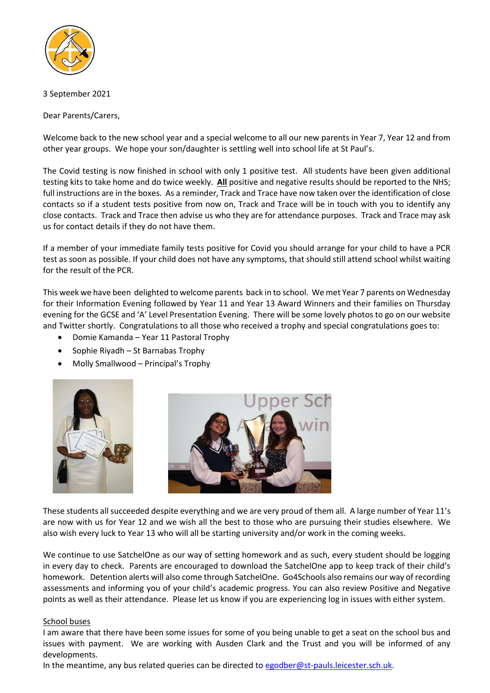

### 3 September 2021

Dear Parents/Carers,

Welcome back to the new school year and a special welcome to all our new parents in Year 7, Year 12 and from other year groups. We hope your son/daughter is settling well into school life at St Paul's.

The Covid testing is now finished in school with only 1 positive test. All students have been given additional testing kits to take home and do twice weekly. **All** positive and negative results should be reported to the NHS; full instructions are in the boxes. As a reminder, Track and Trace have now taken over the identification of close contacts so if a student tests positive from now on, Track and Trace will be in touch with you to identify any close contacts. Track and Trace then advise us who they are for attendance purposes. Track and Trace may ask us for contact details if they do not have them.

If a member of your immediate family tests positive for Covid you should arrange for your child to have a PCR test as soon as possible. If your child does not have any symptoms, that should still attend school whilst waiting for the result of the PCR.

This week we have been delighted to welcome parents back in to school. We met Year 7 parents on Wednesday for their Information Evening followed by Year 11 and Year 13 Award Winners and their families on Thursday evening for the GCSE and 'A' Level Presentation Evening. There will be some lovely photos to go on our website and Twitter shortly. Congratulations to all those who received a trophy and special congratulations goes to:

- Domie Kamanda Year 11 Pastoral Trophy
- Sophie Riyadh St Barnabas Trophy
- Molly Smallwood Principal's Trophy





These students all succeeded despite everything and we are very proud of them all. A large number of Year 11's are now with us for Year 12 and we wish all the best to those who are pursuing their studies elsewhere. We also wish every luck to Year 13 who will all be starting university and/or work in the coming weeks.

We continue to use SatchelOne as our way of setting homework and as such, every student should be logging in every day to check. Parents are encouraged to download the SatchelOne app to keep track of their child's homework. Detention alerts will also come through SatchelOne. Go4Schools also remains our way of recording assessments and informing you of your child's academic progress. You can also review Positive and Negative points as well as their attendance. Please let us know if you are experiencing log in issues with either system.

### School buses

I am aware that there have been some issues for some of you being unable to get a seat on the school bus and issues with payment. We are working with Ausden Clark and the Trust and you will be informed of any developments.

In the meantime, any bus related queries can be directed to [egodber@st-pauls.leicester.sch.uk.](mailto:egodber@st-pauls.leicester.sch.uk)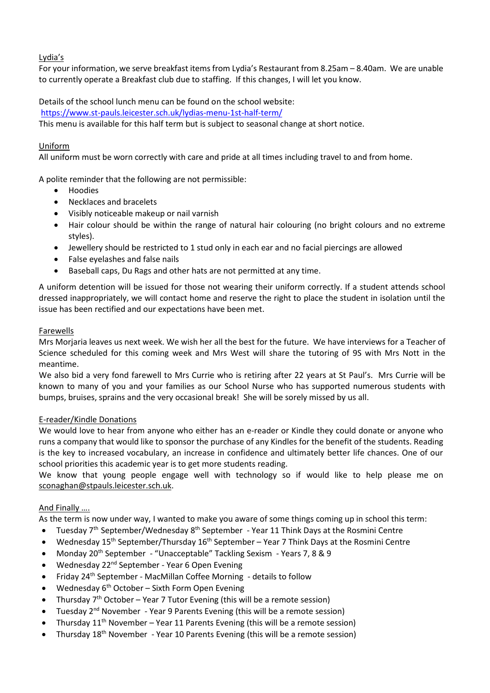# Lydia's

For your information, we serve breakfast items from Lydia's Restaurant from 8.25am – 8.40am. We are unable to currently operate a Breakfast club due to staffing. If this changes, I will let you know.

Details of the school lunch menu can be found on the school website: <https://www.st-pauls.leicester.sch.uk/lydias-menu-1st-half-term/>

This menu is available for this half term but is subject to seasonal change at short notice.

### Uniform

All uniform must be worn correctly with care and pride at all times including travel to and from home.

A polite reminder that the following are not permissible:

- Hoodies
- Necklaces and bracelets
- Visibly noticeable makeup or nail varnish
- Hair colour should be within the range of natural hair colouring (no bright colours and no extreme styles).
- Jewellery should be restricted to 1 stud only in each ear and no facial piercings are allowed
- False eyelashes and false nails
- Baseball caps, Du Rags and other hats are not permitted at any time.

A uniform detention will be issued for those not wearing their uniform correctly. If a student attends school dressed inappropriately, we will contact home and reserve the right to place the student in isolation until the issue has been rectified and our expectations have been met.

### Farewells

Mrs Morjaria leaves us next week. We wish her all the best for the future. We have interviews for a Teacher of Science scheduled for this coming week and Mrs West will share the tutoring of 9S with Mrs Nott in the meantime.

We also bid a very fond farewell to Mrs Currie who is retiring after 22 years at St Paul's. Mrs Currie will be known to many of you and your families as our School Nurse who has supported numerous students with bumps, bruises, sprains and the very occasional break! She will be sorely missed by us all.

### E-reader/Kindle Donations

We would love to hear from anyone who either has an e-reader or Kindle they could donate or anyone who runs a company that would like to sponsor the purchase of any Kindles for the benefit of the students. Reading is the key to increased vocabulary, an increase in confidence and ultimately better life chances. One of our school priorities this academic year is to get more students reading.

We know that young people engage well with technology so if would like to help please me on [sconaghan@stpauls.leicester.sch.uk.](mailto:sconaghan@stpauls.leicester.sch.uk)

## And Finally ….

As the term is now under way, I wanted to make you aware of some things coming up in school this term:

- Tuesday 7<sup>th</sup> September/Wednesday 8<sup>th</sup> September Year 11 Think Days at the Rosmini Centre
- Wednesday  $15^{th}$  September/Thursday  $16^{th}$  September Year 7 Think Days at the Rosmini Centre
- Monday 20th September "Unacceptable" Tackling Sexism Years 7, 8 & 9
- Wednesday 22<sup>nd</sup> September Year 6 Open Evening
- Friday 24<sup>th</sup> September MacMillan Coffee Morning details to follow
- Wednesday  $6<sup>th</sup>$  October Sixth Form Open Evening
- Thursday 7th October Year 7 Tutor Evening (this will be a remote session)
- Tuesday 2<sup>nd</sup> November Year 9 Parents Evening (this will be a remote session)
- Thursday  $11^{th}$  November Year 11 Parents Evening (this will be a remote session)
- Thursday 18th November Year 10 Parents Evening (this will be a remote session)